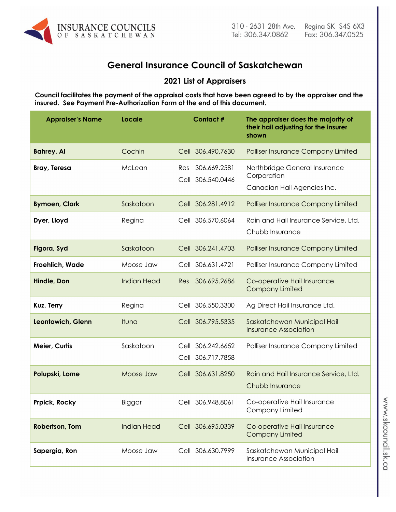

# **General Insurance Council of Saskatchewan**

# **2021 List of Appraisers**

**Council facilitates the payment of the appraisal costs that have been agreed to by the appraiser and the insured. See Payment Pre-Authorization Form at the end of this document.**

| <b>Appraiser's Name</b> | Locale             | <b>Contact#</b>                          | The appraiser does the majority of<br>their hail adjusting for the insurer<br>shown |
|-------------------------|--------------------|------------------------------------------|-------------------------------------------------------------------------------------|
| <b>Bahrey, Al</b>       | Cochin             | Cell 306.490.7630                        | <b>Palliser Insurance Company Limited</b>                                           |
| <b>Bray, Teresa</b>     | McLean             | 306.669.2581<br>Res<br>Cell 306.540.0446 | Northbridge General Insurance<br>Corporation<br>Canadian Hail Agencies Inc.         |
| <b>Bymoen, Clark</b>    | Saskatoon          | Cell 306.281.4912                        | <b>Palliser Insurance Company Limited</b>                                           |
| Dyer, Lloyd             | Regina             | Cell 306.570.6064                        | Rain and Hail Insurance Service, Ltd.<br>Chubb Insurance                            |
| Figora, Syd             | Saskatoon          | Cell 306.241.4703                        | <b>Palliser Insurance Company Limited</b>                                           |
| Froehlich, Wade         | Moose Jaw          | Cell 306.631.4721                        | Palliser Insurance Company Limited                                                  |
| Hindle, Don             | <b>Indian Head</b> | 306.695.2686<br>Res                      | Co-operative Hail Insurance<br><b>Company Limited</b>                               |
| Kuz, Terry              | Regina             | Cell 306.550.3300                        | Ag Direct Hail Insurance Ltd.                                                       |
| Leontowich, Glenn       | Ituna              | Cell 306.795.5335                        | Saskatchewan Municipal Hail<br><b>Insurance Association</b>                         |
| Meier, Curtis           | Saskatoon          | Cell 306.242.6652<br>Cell 306.717.7858   | Palliser Insurance Company Limited                                                  |
| Polupski, Lorne         | Moose Jaw          | Cell 306.631.8250                        | Rain and Hail Insurance Service, Ltd.<br>Chubb Insurance                            |
| Prpick, Rocky           | Biggar             | Cell 306.948.8061                        | Co-operative Hail Insurance<br>Company Limited                                      |
| Robertson, Tom          | <b>Indian Head</b> | Cell 306.695.0339                        | Co-operative Hail Insurance<br><b>Company Limited</b>                               |
| Sapergia, Ron           | Moose Jaw          | Cell 306.630.7999                        | Saskatchewan Municipal Hail<br><b>Insurance Association</b>                         |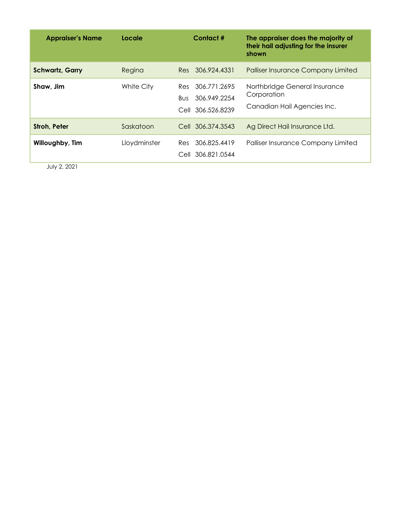| <b>Appraiser's Name</b> | Locale       | Contact#                                                            | The appraiser does the majority of<br>their hail adjusting for the insurer<br>shown |
|-------------------------|--------------|---------------------------------------------------------------------|-------------------------------------------------------------------------------------|
| <b>Schwartz, Garry</b>  | Regina       | Res 306,924,4331                                                    | <b>Palliser Insurance Company Limited</b>                                           |
| Shaw, Jim               | White City   | Res 306.771.2695<br>306.949.2254<br><b>Bus</b><br>Cell 306.526.8239 | Northbridge General Insurance<br>Corporation<br>Canadian Hail Agencies Inc.         |
| <b>Stroh, Peter</b>     | Saskatoon    | Cell 306.374.3543                                                   | Ag Direct Hail Insurance Ltd.                                                       |
| Willoughby, Tim         | Lloydminster | 306.825.4419<br>Res<br>Cell 306.821.0544                            | <b>Palliser Insurance Company Limited</b>                                           |

July 2, 2021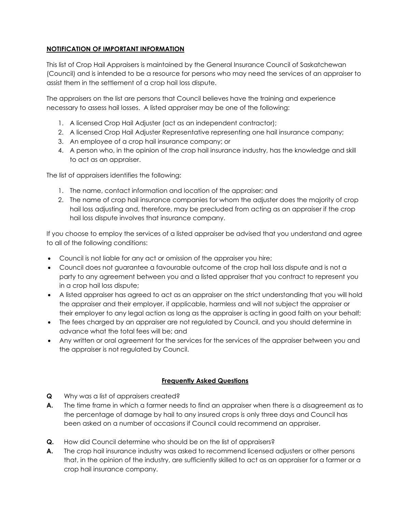## **NOTIFICATION OF IMPORTANT INFORMATION**

This list of Crop Hail Appraisers is maintained by the General Insurance Council of Saskatchewan (Council) and is intended to be a resource for persons who may need the services of an appraiser to assist them in the settlement of a crop hail loss dispute.

The appraisers on the list are persons that Council believes have the training and experience necessary to assess hail losses. A listed appraiser may be one of the following:

- 1. A licensed Crop Hail Adjuster (act as an independent contractor);
- 2. A licensed Crop Hail Adjuster Representative representing one hail insurance company;
- 3. An employee of a crop hail insurance company; or
- 4. A person who, in the opinion of the crop hail insurance industry, has the knowledge and skill to act as an appraiser.

The list of appraisers identifies the following:

- 1. The name, contact information and location of the appraiser; and
- 2. The name of crop hail insurance companies for whom the adjuster does the majority of crop hail loss adjusting and, therefore, may be precluded from acting as an appraiser if the crop hail loss dispute involves that insurance company.

If you choose to employ the services of a listed appraiser be advised that you understand and agree to all of the following conditions:

- Council is not liable for any act or omission of the appraiser you hire;
- Council does not guarantee a favourable outcome of the crop hail loss dispute and is not a party to any agreement between you and a listed appraiser that you contract to represent you in a crop hail loss dispute;
- A listed appraiser has agreed to act as an appraiser on the strict understanding that you will hold the appraiser and their employer, if applicable, harmless and will not subject the appraiser or their employer to any legal action as long as the appraiser is acting in good faith on your behalf;
- The fees charged by an appraiser are not regulated by Council, and you should determine in advance what the total fees will be; and
- Any written or oral agreement for the services for the services of the appraiser between you and the appraiser is not regulated by Council.

## **Frequently Asked Questions**

- **Q** Why was a list of appraisers created?
- **A.** The time frame in which a farmer needs to find an appraiser when there is a disagreement as to the percentage of damage by hail to any insured crops is only three days and Council has been asked on a number of occasions if Council could recommend an appraiser.
- **Q.** How did Council determine who should be on the list of appraisers?
- **A.** The crop hail insurance industry was asked to recommend licensed adjusters or other persons that, in the opinion of the industry, are sufficiently skilled to act as an appraiser for a farmer or a crop hail insurance company.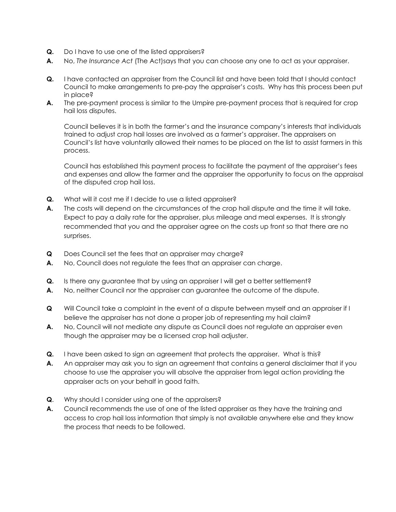- **Q.** Do I have to use one of the listed appraisers?
- **A.** No, *The Insurance Act* (The Act)says that you can choose any one to act as your appraiser.
- **Q.** I have contacted an appraiser from the Council list and have been told that I should contact Council to make arrangements to pre-pay the appraiser's costs. Why has this process been put in place?
- **A.** The pre-payment process is similar to the Umpire pre-payment process that is required for crop hail loss disputes.

 Council believes it is in both the farmer's and the insurance company's interests that individuals trained to adjust crop hail losses are involved as a farmer's appraiser. The appraisers on Council's list have voluntarily allowed their names to be placed on the list to assist farmers in this process.

 Council has established this payment process to facilitate the payment of the appraiser's fees and expenses and allow the farmer and the appraiser the opportunity to focus on the appraisal of the disputed crop hail loss.

- **Q.** What will it cost me if I decide to use a listed appraiser?
- **A.** The costs will depend on the circumstances of the crop hail dispute and the time it will take. Expect to pay a daily rate for the appraiser, plus mileage and meal expenses. It is strongly recommended that you and the appraiser agree on the costs up front so that there are no surprises.
- **Q** Does Council set the fees that an appraiser may charge?
- **A.** No, Council does not regulate the fees that an appraiser can charge.
- **Q.** Is there any guarantee that by using an appraiser I will get a better settlement?
- **A.** No, neither Council nor the appraiser can guarantee the outcome of the dispute.
- **Q** Will Council take a complaint in the event of a dispute between myself and an appraiser if I believe the appraiser has not done a proper job of representing my hail claim?
- **A.** No, Council will not mediate any dispute as Council does not regulate an appraiser even though the appraiser may be a licensed crop hail adjuster.
- **Q.** I have been asked to sign an agreement that protects the appraiser. What is this?
- **A.** An appraiser may ask you to sign an agreement that contains a general disclaimer that if you choose to use the appraiser you will absolve the appraiser from legal action providing the appraiser acts on your behalf in good faith.
- **Q**. Why should I consider using one of the appraisers?
- **A.** Council recommends the use of one of the listed appraiser as they have the training and access to crop hail loss information that simply is not available anywhere else and they know the process that needs to be followed.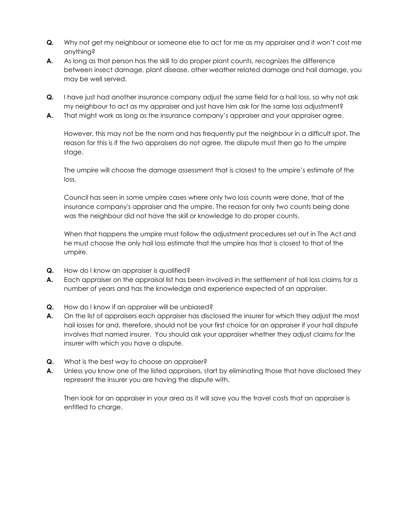- **Q.** Why not get my neighbour or someone else to act for me as my appraiser and it won't cost me anything?
- **A.** As long as that person has the skill to do proper plant counts, recognizes the difference between insect damage, plant disease, other weather related damage and hail damage, you may be well served.
- **Q.** I have just had another insurance company adjust the same field for a hail loss, so why not ask my neighbour to act as my appraiser and just have him ask for the same loss adjustment?
- **A.** That might work as long as the insurance company's appraiser and your appraiser agree.

 However, this may not be the norm and has frequently put the neighbour in a difficult spot. The reason for this is if the two appraisers do not agree, the dispute must then go to the umpire stage.

The umpire will choose the damage assessment that is closest to the umpire's estimate of the loss.

Council has seen in some umpire cases where only two loss counts were done, that of the insurance company's appraiser and the umpire. The reason for only two counts being done was the neighbour did not have the skill or knowledge to do proper counts.

 When that happens the umpire must follow the adjustment procedures set out in The Act and he must choose the only hail loss estimate that the umpire has that is closest to that of the umpire.

- **Q.** How do I know an appraiser is qualified?
- **A.** Each appraiser on the appraisal list has been involved in the settlement of hail loss claims for a number of years and has the knowledge and experience expected of an appraiser.
- **Q.** How do I know if an appraiser will be unbiased?
- **A.** On the list of appraisers each appraiser has disclosed the insurer for which they adjust the most hail losses for and, therefore, should not be your first choice for an appraiser if your hail dispute involves that named insurer. You should ask your appraiser whether they adjust claims for the insurer with which you have a dispute.
- **Q.** What is the best way to choose an appraiser?
- **A.** Unless you know one of the listed appraisers, start by eliminating those that have disclosed they represent the insurer you are having the dispute with.

 Then look for an appraiser in your area as it will save you the travel costs that an appraiser is entitled to charge.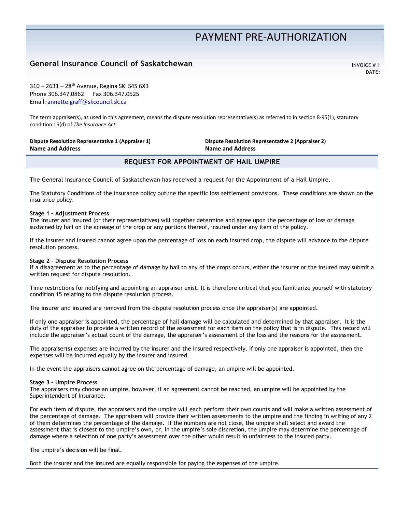# PAYMENT PRE‐AUTHORIZATION

# **General Insurance Council of Saskatchewan Internal Account of American Account of Saskatchewan INVOICE** # 1

DATE:

310 – 2631 – 28th Avenue, Regina SK S4S 6X3 Phone 306.347.0862 Fax 306.347.0525 Email: annette.graff@skcouncil.sk.ca

The term appraiser(s), as used in this agreement, means the dispute resolution representative(s) as referred to in section 8-95(1), statutory condition 15(d) of *The Insurance Act*.

#### **Dispute Resolution Representative 1 (Appraiser 1) Name and Address**

**Dispute Resolution Representative 2 (Appraiser 2) Name and Address**

## **REQUEST FOR APPOINTMENT OF HAIL UMPIRE**

The General Insurance Council of Saskatchewan has received a request for the Appointment of a Hail Umpire.

The Statutory Conditions of the insurance policy outline the specific loss settlement provisions. These conditions are shown on the insurance policy.

#### **Stage 1 – Adjustment Process**

The insurer and insured (or their representatives) will together determine and agree upon the percentage of loss or damage sustained by hail on the acreage of the crop or any portions thereof, insured under any item of the policy.

If the insurer and insured cannot agree upon the percentage of loss on each insured crop, the dispute will advance to the dispute resolution process.

#### **Stage 2 – Dispute Resolution Process**

If a disagreement as to the percentage of damage by hail to any of the crops occurs, either the insurer or the insured may submit a written request for dispute resolution.

Time restrictions for notifying and appointing an appraiser exist. It is therefore critical that you familiarize yourself with statutory condition 15 relating to the dispute resolution process.

The insurer and insured are removed from the dispute resolution process once the appraiser(s) are appointed.

If only one appraiser is appointed, the percentage of hail damage will be calculated and determined by that appraiser. It is the duty of the appraiser to provide a written record of the assessment for each item on the policy that is in dispute. This record will include the appraiser's actual count of the damage, the appraiser's assessment of the loss and the reasons for the assessment.

The appraiser(s) expenses are incurred by the insurer and the insured respectively. If only one appraiser is appointed, then the expenses will be incurred equally by the insurer and insured.

In the event the appraisers cannot agree on the percentage of damage, an umpire will be appointed.

#### **Stage 3 – Umpire Process**

The appraisers may choose an umpire, however, if an agreement cannot be reached, an umpire will be appointed by the Superintendent of Insurance.

For each item of dispute, the appraisers and the umpire will each perform their own counts and will make a written assessment of the percentage of damage. The appraisers will provide their written assessments to the umpire and the finding in writing of any 2 of them determines the percentage of the damage. If the numbers are not close, the umpire shall select and award the assessment that is closest to the umpire's own, or, in the umpire's sole discretion, the umpire may determine the percentage of damage where a selection of one party's assessment over the other would result in unfairness to the insured party.

The umpire's decision will be final.

Both the insurer and the insured are equally responsible for paying the expenses of the umpire.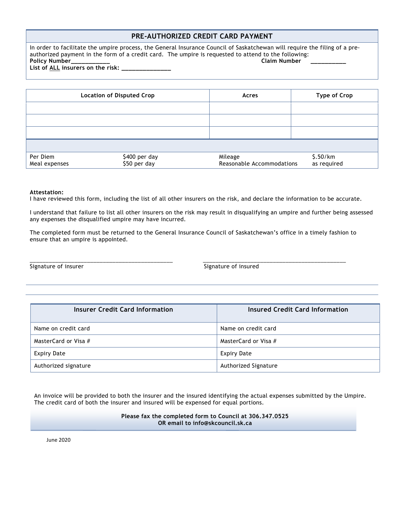### **PRE-AUTHORIZED CREDIT CARD PAYMENT**

In order to facilitate the umpire process, the General Insurance Council of Saskatchewan will require the filing of a preauthorized payment in the form of a credit card. The umpire is requested to attend to the following:<br>Policy Number<br>Claim Number Policy Number

List of ALL insurers on the risk: \_

**Location of Disputed Crop** acres **Acres Acres Acres Acres Acres Acres Acres Acres Acres Acres Acres Acres Acres Acres Acres Acres Acres Acres Acres Acres Acres Acres Acres** the contract of the contract of the contract of the contract of the contract of the contract of the contract of the contract of the contract of Per Diem \$400 per day Meal expenses \$50 per day Mileage \$.50/km Reasonable Accommodations as required

#### **Attestation:**

I have reviewed this form, including the list of all other insurers on the risk, and declare the information to be accurate.

I understand that failure to list all other insurers on the risk may result in disqualifying an umpire and further being assessed any expenses the disqualified umpire may have incurred.

The completed form must be returned to the General Insurance Council of Saskatchewan's office in a timely fashion to ensure that an umpire is appointed.

\_\_\_\_\_\_\_\_\_\_\_\_\_\_\_\_\_\_\_\_\_\_\_\_\_\_\_\_\_\_\_\_\_\_\_\_\_\_\_\_\_\_\_\_\_ \_\_\_\_\_\_\_\_\_\_\_\_\_\_\_\_\_\_\_\_\_\_\_\_\_\_\_\_\_\_\_\_\_\_\_\_\_\_\_\_\_\_\_\_\_

Signature of insurer Signature of insured

| <b>Insurer Credit Card Information</b> | <b>Insured Credit Card Information</b> |
|----------------------------------------|----------------------------------------|
| Name on credit card                    | Name on credit card                    |
| MasterCard or Visa #                   | MasterCard or Visa #                   |
| <b>Expiry Date</b>                     | Expiry Date                            |
| Authorized signature                   | Authorized Signature                   |

An invoice will be provided to both the insurer and the insured identifying the actual expenses submitted by the Umpire. The credit card of both the insurer and insured will be expensed for equal portions.

> **Please fax the completed form to Council at 306.347.0525 OR email to info@skcouncil.sk.ca**

June 2020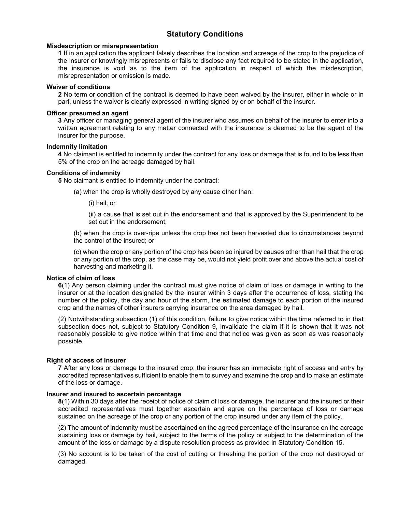## **Statutory Conditions**

#### **Misdescription or misrepresentation**

**1** If in an application the applicant falsely describes the location and acreage of the crop to the prejudice of the insurer or knowingly misrepresents or fails to disclose any fact required to be stated in the application, the insurance is void as to the item of the application in respect of which the misdescription, misrepresentation or omission is made.

#### **Waiver of conditions**

**2** No term or condition of the contract is deemed to have been waived by the insurer, either in whole or in part, unless the waiver is clearly expressed in writing signed by or on behalf of the insurer.

#### **Officer presumed an agent**

**3** Any officer or managing general agent of the insurer who assumes on behalf of the insurer to enter into a written agreement relating to any matter connected with the insurance is deemed to be the agent of the insurer for the purpose.

#### **Indemnity limitation**

**4** No claimant is entitled to indemnity under the contract for any loss or damage that is found to be less than 5% of the crop on the acreage damaged by hail.

#### **Conditions of indemnity**

**5** No claimant is entitled to indemnity under the contract:

(a) when the crop is wholly destroyed by any cause other than:

(i) hail; or

(ii) a cause that is set out in the endorsement and that is approved by the Superintendent to be set out in the endorsement;

(b) when the crop is over-ripe unless the crop has not been harvested due to circumstances beyond the control of the insured; or

(c) when the crop or any portion of the crop has been so injured by causes other than hail that the crop or any portion of the crop, as the case may be, would not yield profit over and above the actual cost of harvesting and marketing it.

#### **Notice of claim of loss**

**6**(1) Any person claiming under the contract must give notice of claim of loss or damage in writing to the insurer or at the location designated by the insurer within 3 days after the occurrence of loss, stating the number of the policy, the day and hour of the storm, the estimated damage to each portion of the insured crop and the names of other insurers carrying insurance on the area damaged by hail.

(2) Notwithstanding subsection (1) of this condition, failure to give notice within the time referred to in that subsection does not, subject to Statutory Condition 9, invalidate the claim if it is shown that it was not reasonably possible to give notice within that time and that notice was given as soon as was reasonably possible.

#### **Right of access of insurer**

**7** After any loss or damage to the insured crop, the insurer has an immediate right of access and entry by accredited representatives sufficient to enable them to survey and examine the crop and to make an estimate of the loss or damage.

#### **Insurer and insured to ascertain percentage**

**8**(1) Within 30 days after the receipt of notice of claim of loss or damage, the insurer and the insured or their accredited representatives must together ascertain and agree on the percentage of loss or damage sustained on the acreage of the crop or any portion of the crop insured under any item of the policy.

(2) The amount of indemnity must be ascertained on the agreed percentage of the insurance on the acreage sustaining loss or damage by hail, subject to the terms of the policy or subject to the determination of the amount of the loss or damage by a dispute resolution process as provided in Statutory Condition 15.

(3) No account is to be taken of the cost of cutting or threshing the portion of the crop not destroyed or damaged.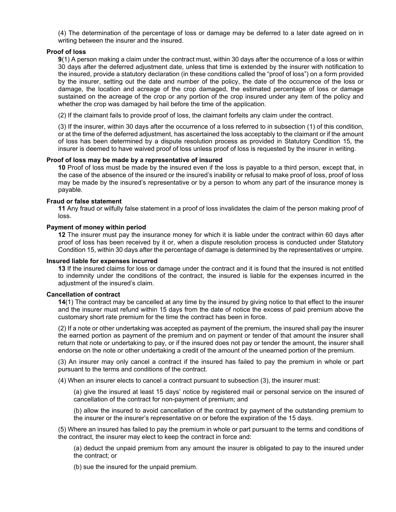(4) The determination of the percentage of loss or damage may be deferred to a later date agreed on in writing between the insurer and the insured.

#### **Proof of loss**

**9**(1) A person making a claim under the contract must, within 30 days after the occurrence of a loss or within 30 days after the deferred adjustment date, unless that time is extended by the insurer with notification to the insured, provide a statutory declaration (in these conditions called the "proof of loss") on a form provided by the insurer, setting out the date and number of the policy, the date of the occurrence of the loss or damage, the location and acreage of the crop damaged, the estimated percentage of loss or damage sustained on the acreage of the crop or any portion of the crop insured under any item of the policy and whether the crop was damaged by hail before the time of the application.

(2) If the claimant fails to provide proof of loss, the claimant forfeits any claim under the contract.

(3) If the insurer, within 30 days after the occurrence of a loss referred to in subsection (1) of this condition, or at the time of the deferred adjustment, has ascertained the loss acceptably to the claimant or if the amount of loss has been determined by a dispute resolution process as provided in Statutory Condition 15, the insurer is deemed to have waived proof of loss unless proof of loss is requested by the insurer in writing.

#### **Proof of loss may be made by a representative of insured**

**10** Proof of loss must be made by the insured even if the loss is payable to a third person, except that, in the case of the absence of the insured or the insured's inability or refusal to make proof of loss, proof of loss may be made by the insured's representative or by a person to whom any part of the insurance money is payable.

#### **Fraud or false statement**

**11** Any fraud or wilfully false statement in a proof of loss invalidates the claim of the person making proof of loss.

#### **Payment of money within period**

**12** The insurer must pay the insurance money for which it is liable under the contract within 60 days after proof of loss has been received by it or, when a dispute resolution process is conducted under Statutory Condition 15, within 30 days after the percentage of damage is determined by the representatives or umpire.

#### **Insured liable for expenses incurred**

**13** If the insured claims for loss or damage under the contract and it is found that the insured is not entitled to indemnity under the conditions of the contract, the insured is liable for the expenses incurred in the adjustment of the insured's claim.

#### **Cancellation of contract**

**14**(1) The contract may be cancelled at any time by the insured by giving notice to that effect to the insurer and the insurer must refund within 15 days from the date of notice the excess of paid premium above the customary short rate premium for the time the contract has been in force.

(2) If a note or other undertaking was accepted as payment of the premium, the insured shall pay the insurer the earned portion as payment of the premium and on payment or tender of that amount the insurer shall return that note or undertaking to pay, or if the insured does not pay or tender the amount, the insurer shall endorse on the note or other undertaking a credit of the amount of the unearned portion of the premium.

(3) An insurer may only cancel a contract if the insured has failed to pay the premium in whole or part pursuant to the terms and conditions of the contract.

(4) When an insurer elects to cancel a contract pursuant to subsection (3), the insurer must:

(a) give the insured at least 15 days' notice by registered mail or personal service on the insured of cancellation of the contract for non-payment of premium; and

(b) allow the insured to avoid cancellation of the contract by payment of the outstanding premium to the insurer or the insurer's representative on or before the expiration of the 15 days.

(5) Where an insured has failed to pay the premium in whole or part pursuant to the terms and conditions of the contract, the insurer may elect to keep the contract in force and:

(a) deduct the unpaid premium from any amount the insurer is obligated to pay to the insured under the contract; or

(b) sue the insured for the unpaid premium.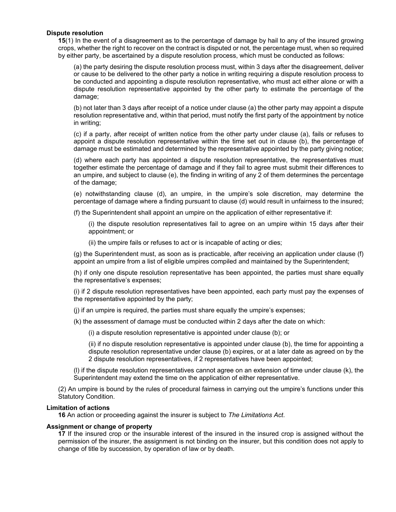#### **Dispute resolution**

**15**(1) In the event of a disagreement as to the percentage of damage by hail to any of the insured growing crops, whether the right to recover on the contract is disputed or not, the percentage must, when so required by either party, be ascertained by a dispute resolution process, which must be conducted as follows:

(a) the party desiring the dispute resolution process must, within 3 days after the disagreement, deliver or cause to be delivered to the other party a notice in writing requiring a dispute resolution process to be conducted and appointing a dispute resolution representative, who must act either alone or with a dispute resolution representative appointed by the other party to estimate the percentage of the damage;

(b) not later than 3 days after receipt of a notice under clause (a) the other party may appoint a dispute resolution representative and, within that period, must notify the first party of the appointment by notice in writing;

(c) if a party, after receipt of written notice from the other party under clause (a), fails or refuses to appoint a dispute resolution representative within the time set out in clause (b), the percentage of damage must be estimated and determined by the representative appointed by the party giving notice;

(d) where each party has appointed a dispute resolution representative, the representatives must together estimate the percentage of damage and if they fail to agree must submit their differences to an umpire, and subject to clause (e), the finding in writing of any 2 of them determines the percentage of the damage;

(e) notwithstanding clause (d), an umpire, in the umpire's sole discretion, may determine the percentage of damage where a finding pursuant to clause (d) would result in unfairness to the insured;

(f) the Superintendent shall appoint an umpire on the application of either representative if:

(i) the dispute resolution representatives fail to agree on an umpire within 15 days after their appointment; or

(ii) the umpire fails or refuses to act or is incapable of acting or dies;

(g) the Superintendent must, as soon as is practicable, after receiving an application under clause (f) appoint an umpire from a list of eligible umpires compiled and maintained by the Superintendent;

(h) if only one dispute resolution representative has been appointed, the parties must share equally the representative's expenses;

(i) if 2 dispute resolution representatives have been appointed, each party must pay the expenses of the representative appointed by the party;

(j) if an umpire is required, the parties must share equally the umpire's expenses;

(k) the assessment of damage must be conducted within 2 days after the date on which:

(i) a dispute resolution representative is appointed under clause (b); or

(ii) if no dispute resolution representative is appointed under clause (b), the time for appointing a dispute resolution representative under clause (b) expires, or at a later date as agreed on by the 2 dispute resolution representatives, if 2 representatives have been appointed;

(l) if the dispute resolution representatives cannot agree on an extension of time under clause (k), the Superintendent may extend the time on the application of either representative.

(2) An umpire is bound by the rules of procedural fairness in carrying out the umpire's functions under this Statutory Condition.

#### **Limitation of actions**

**16** An action or proceeding against the insurer is subject to *The Limitations Act*.

#### **Assignment or change of property**

**17** If the insured crop or the insurable interest of the insured in the insured crop is assigned without the permission of the insurer, the assignment is not binding on the insurer, but this condition does not apply to change of title by succession, by operation of law or by death.